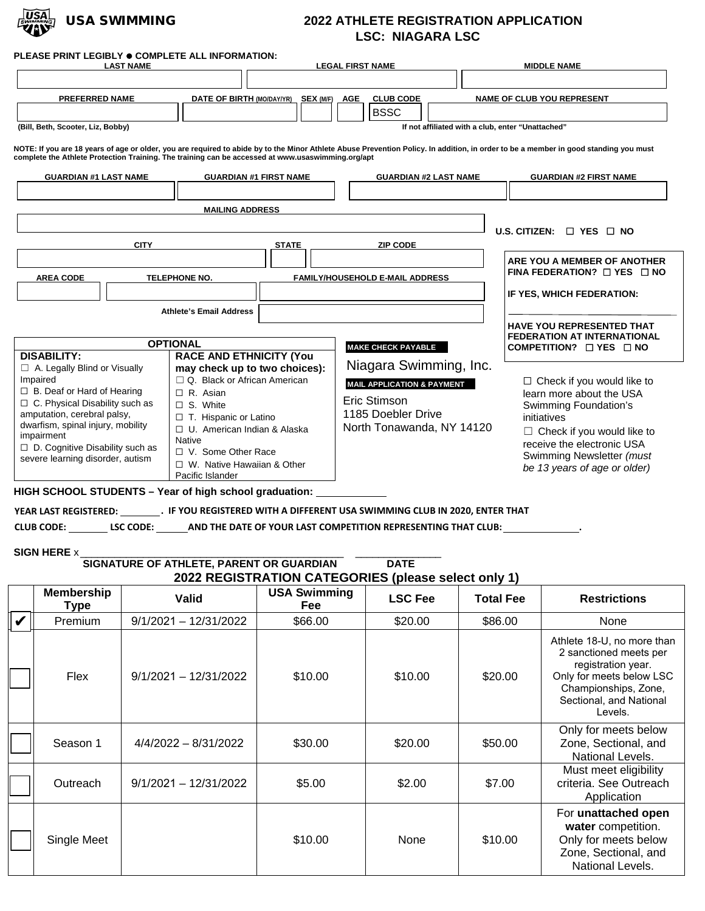

## USA SWIMMING **2022 ATHLETE REGISTRATION APPLICATION LSC: NIAGARA LSC**

| <b>LAST NAME</b>                                                                                                                                                                                                                                                                  | PLEASE PRINT LEGIBLY ● COMPLETE ALL INFORMATION:                                                                                                                                                                                                                    | <b>LEGAL FIRST NAME</b>                                                                                                                                                              | <b>MIDDLE NAME</b>                                                                                                                                                                                                                    |
|-----------------------------------------------------------------------------------------------------------------------------------------------------------------------------------------------------------------------------------------------------------------------------------|---------------------------------------------------------------------------------------------------------------------------------------------------------------------------------------------------------------------------------------------------------------------|--------------------------------------------------------------------------------------------------------------------------------------------------------------------------------------|---------------------------------------------------------------------------------------------------------------------------------------------------------------------------------------------------------------------------------------|
|                                                                                                                                                                                                                                                                                   |                                                                                                                                                                                                                                                                     |                                                                                                                                                                                      |                                                                                                                                                                                                                                       |
| PREFERRED NAME                                                                                                                                                                                                                                                                    | DATE OF BIRTH (MO/DAY/YR) SEX (M/F) AGE                                                                                                                                                                                                                             | <b>CLUB CODE</b>                                                                                                                                                                     | <b>NAME OF CLUB YOU REPRESENT</b>                                                                                                                                                                                                     |
| (Bill, Beth, Scooter, Liz, Bobby)                                                                                                                                                                                                                                                 |                                                                                                                                                                                                                                                                     | <b>BSSC</b>                                                                                                                                                                          | If not affiliated with a club, enter "Unattached"                                                                                                                                                                                     |
|                                                                                                                                                                                                                                                                                   | complete the Athlete Protection Training. The training can be accessed at www.usaswimming.org/apt                                                                                                                                                                   | NOTE: If you are 18 years of age or older, you are required to abide by to the Minor Athlete Abuse Prevention Policy. In addition, in order to be a member in good standing you must |                                                                                                                                                                                                                                       |
| <b>GUARDIAN #1 LAST NAME</b>                                                                                                                                                                                                                                                      | <b>GUARDIAN #1 FIRST NAME</b>                                                                                                                                                                                                                                       | <b>GUARDIAN #2 LAST NAME</b>                                                                                                                                                         | <b>GUARDIAN #2 FIRST NAME</b>                                                                                                                                                                                                         |
|                                                                                                                                                                                                                                                                                   | <b>MAILING ADDRESS</b>                                                                                                                                                                                                                                              |                                                                                                                                                                                      | U.S. CITIZEN: $\Box$ YES $\Box$ NO                                                                                                                                                                                                    |
| <b>CITY</b><br><b>AREA CODE</b>                                                                                                                                                                                                                                                   | <b>STATE</b><br><b>TELEPHONE NO.</b>                                                                                                                                                                                                                                | <b>ZIP CODE</b><br><b>FAMILY/HOUSEHOLD E-MAIL ADDRESS</b>                                                                                                                            | ARE YOU A MEMBER OF ANOTHER<br>FINA FEDERATION? $\Box$ YES $\Box$ NO<br>IF YES, WHICH FEDERATION:                                                                                                                                     |
| <b>DISABILITY:</b>                                                                                                                                                                                                                                                                | <b>Athlete's Email Address</b><br><b>OPTIONAL</b><br><b>RACE AND ETHNICITY (You</b>                                                                                                                                                                                 | <b>MAKE CHECK PAYABLE</b>                                                                                                                                                            | <b>HAVE YOU REPRESENTED THAT</b><br><b>FEDERATION AT INTERNATIONAL</b><br>COMPETITION? $\Box$ YES $\Box$ NO                                                                                                                           |
| □ A. Legally Blind or Visually<br>Impaired<br>$\Box$ B. Deaf or Hard of Hearing<br>$\Box$ C. Physical Disability such as<br>amputation, cerebral palsy,<br>dwarfism, spinal injury, mobility<br>impairment<br>D. Cognitive Disability such as<br>severe learning disorder, autism | may check up to two choices):<br>$\Box$ Q. Black or African American<br>$\Box$ R. Asian<br>$\Box$ S. White<br>□ T. Hispanic or Latino<br>□ U. American Indian & Alaska<br><b>Native</b><br>□ V. Some Other Race<br>□ W. Native Hawaiian & Other<br>Pacific Islander | Niagara Swimming, Inc.<br><b>MAIL APPLICATION &amp; PAYMENT</b><br>Eric Stimson<br>1185 Doebler Drive<br>North Tonawanda, NY 14120                                                   | $\Box$ Check if you would like to<br>learn more about the USA<br>Swimming Foundation's<br>initiatives<br>$\Box$ Check if you would like to<br>receive the electronic USA<br>Swimming Newsletter (must<br>be 13 years of age or older) |

**CLUB CODE: LSC CODE: AND THE DATE OF YOUR LAST COMPETITION REPRESENTING THAT CLUB: .**

**SIGN HERE** x \_\_\_\_\_\_\_\_\_\_\_\_\_\_\_\_\_\_\_\_\_\_\_\_\_\_\_\_\_\_\_\_\_\_\_\_\_\_\_\_\_\_\_\_\_\_ \_\_\_\_\_\_\_\_\_\_\_\_\_\_\_

**2022 REGISTRATION CATEGORIES (please select only 1) SIGNATURE OF ATHLETE, PARENT OR GUARDIAN DATE**

|   | <b>Membership</b><br>Type | Valid                   | <b>USA Swimming</b><br>Fee | <b>LSC Fee</b> | <b>Total Fee</b> | <b>Restrictions</b>                                                                                                                                                  |
|---|---------------------------|-------------------------|----------------------------|----------------|------------------|----------------------------------------------------------------------------------------------------------------------------------------------------------------------|
| V | Premium                   | $9/1/2021 - 12/31/2022$ | \$66.00                    | \$20.00        | \$86.00          | <b>None</b>                                                                                                                                                          |
|   | Flex                      | $9/1/2021 - 12/31/2022$ | \$10.00                    | \$10.00        | \$20.00          | Athlete 18-U, no more than<br>2 sanctioned meets per<br>registration year.<br>Only for meets below LSC<br>Championships, Zone,<br>Sectional, and National<br>Levels. |
|   | Season 1                  | $4/4/2022 - 8/31/2022$  | \$30.00                    | \$20.00        | \$50.00          | Only for meets below<br>Zone, Sectional, and<br>National Levels.                                                                                                     |
|   | Outreach                  | $9/1/2021 - 12/31/2022$ | \$5.00                     | \$2.00         | \$7.00           | Must meet eligibility<br>criteria. See Outreach<br>Application                                                                                                       |
|   | Single Meet               |                         | \$10.00                    | None           | \$10.00          | For unattached open<br>water competition.<br>Only for meets below<br>Zone, Sectional, and<br>National Levels.                                                        |